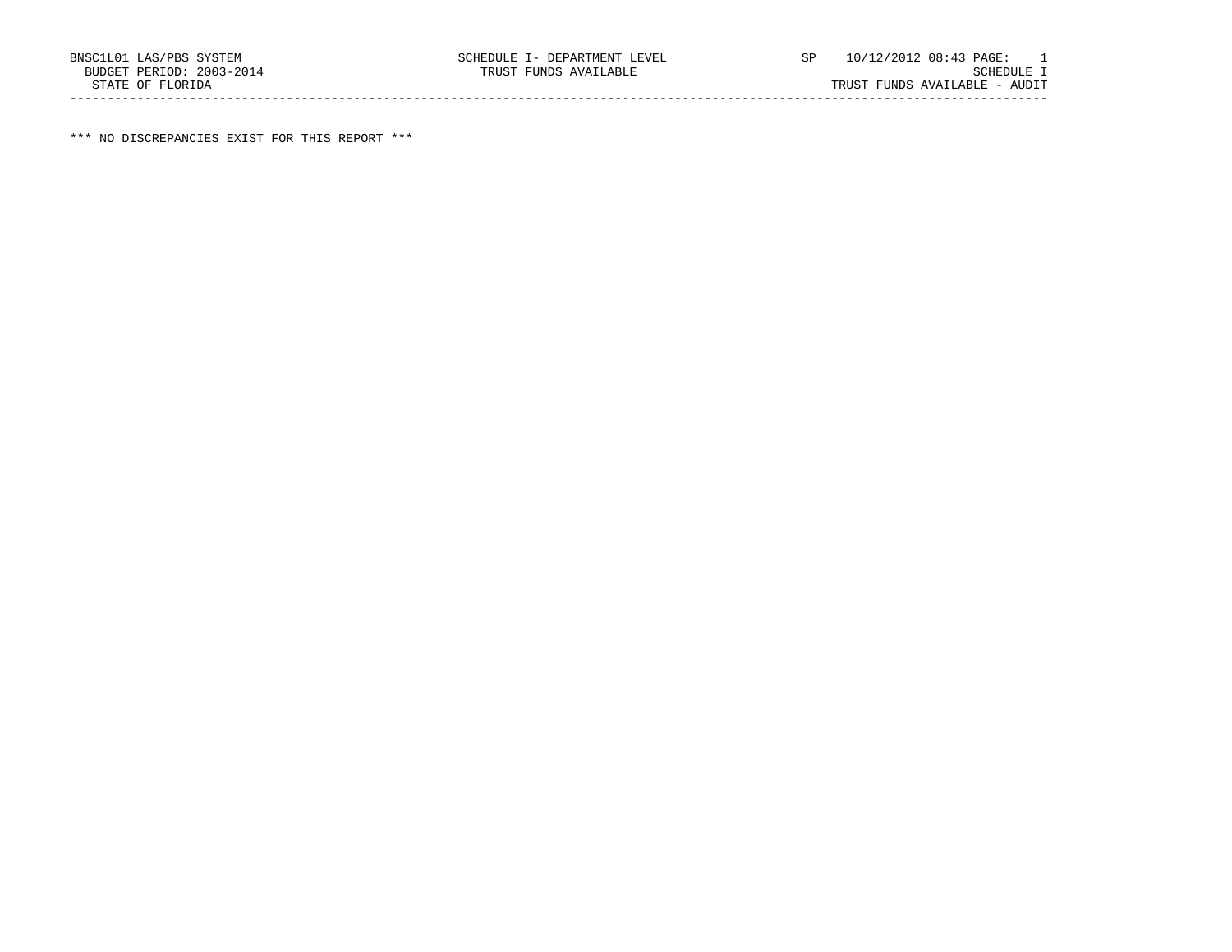\*\*\* NO DISCREPANCIES EXIST FOR THIS REPORT \*\*\*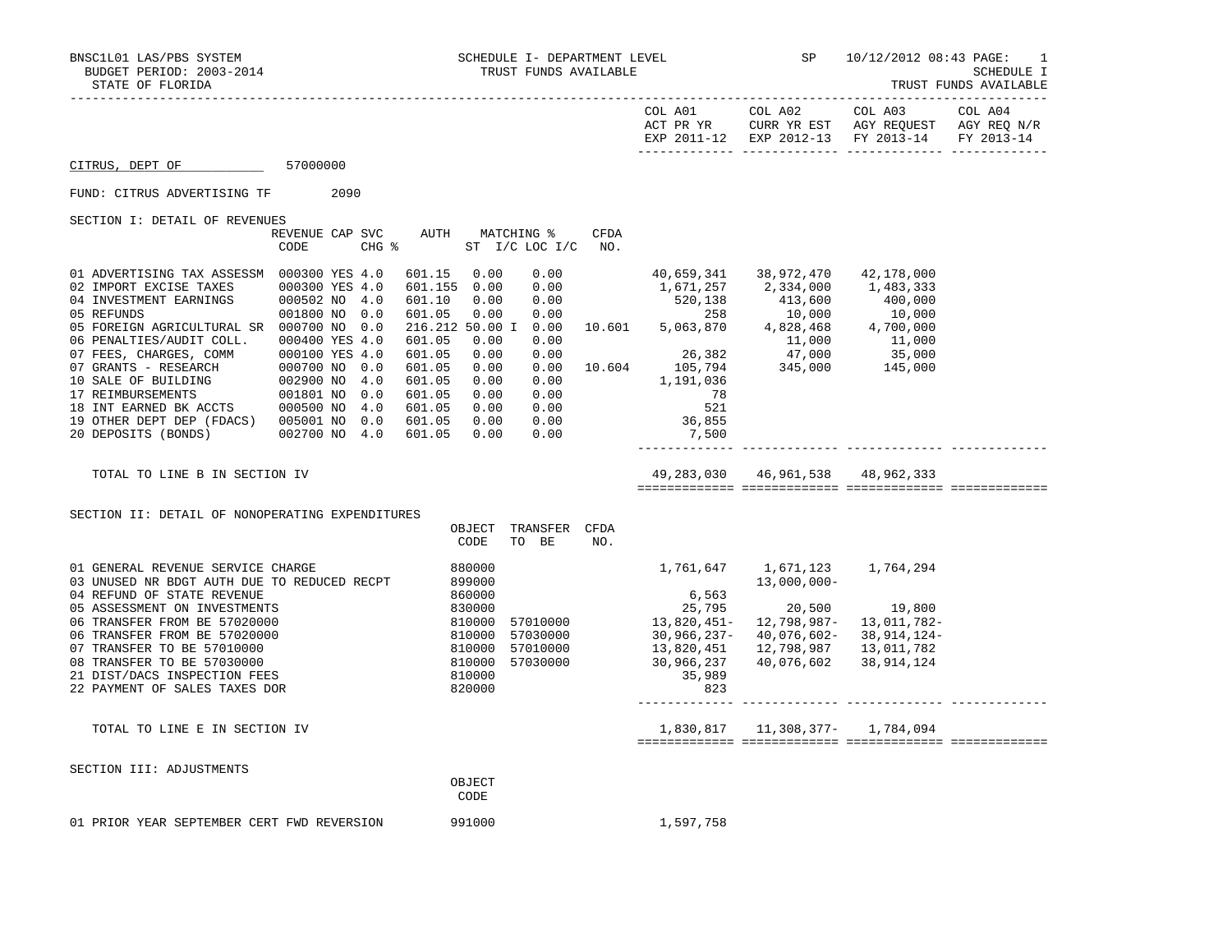|                                                                                                                                                                                                                                                                                                                                                                                                                                                                 |                                                                                     |     |                                                                                                        |                                                                      |                                                      |             | COL A01                                                                                                                                                                                                                                                                                                                                                                                                                                                                              | COL A02                                                                                                       | COL A03<br>ACT PR YR CURR YR EST AGY REQUEST AGY REQ N/R<br>EXP 2011-12 EXP 2012-13 FY 2013-14 | COL A04<br>FY 2013-14 |
|-----------------------------------------------------------------------------------------------------------------------------------------------------------------------------------------------------------------------------------------------------------------------------------------------------------------------------------------------------------------------------------------------------------------------------------------------------------------|-------------------------------------------------------------------------------------|-----|--------------------------------------------------------------------------------------------------------|----------------------------------------------------------------------|------------------------------------------------------|-------------|--------------------------------------------------------------------------------------------------------------------------------------------------------------------------------------------------------------------------------------------------------------------------------------------------------------------------------------------------------------------------------------------------------------------------------------------------------------------------------------|---------------------------------------------------------------------------------------------------------------|------------------------------------------------------------------------------------------------|-----------------------|
| CITRUS, DEPT OF<br>57000000                                                                                                                                                                                                                                                                                                                                                                                                                                     |                                                                                     |     |                                                                                                        |                                                                      |                                                      |             |                                                                                                                                                                                                                                                                                                                                                                                                                                                                                      |                                                                                                               |                                                                                                |                       |
| FUND: CITRUS ADVERTISING TF 2090                                                                                                                                                                                                                                                                                                                                                                                                                                |                                                                                     |     |                                                                                                        |                                                                      |                                                      |             |                                                                                                                                                                                                                                                                                                                                                                                                                                                                                      |                                                                                                               |                                                                                                |                       |
| SECTION I: DETAIL OF REVENUES                                                                                                                                                                                                                                                                                                                                                                                                                                   |                                                                                     |     |                                                                                                        |                                                                      |                                                      |             |                                                                                                                                                                                                                                                                                                                                                                                                                                                                                      |                                                                                                               |                                                                                                |                       |
|                                                                                                                                                                                                                                                                                                                                                                                                                                                                 | REVENUE CAP SVC<br>CODE                                                             |     | $CHG$ $\approx$                                                                                        |                                                                      | AUTH MATCHING %<br>ST I/C LOC I/C NO.                | <b>CFDA</b> |                                                                                                                                                                                                                                                                                                                                                                                                                                                                                      |                                                                                                               |                                                                                                |                       |
| 01 ADVERTISING TAX ASSESSM 000300 YES 4.0<br>02 IMPORT EXCISE TAXES<br>04 INVESTMENT EARNINGS<br>ARNINGS<br>05 REFUNDS<br>05 FOREIGN AGRICULTURAL SR 000700 NO<br>06 PENALTIES/AUDIT COLL.<br>00100 YES A.0<br>07 GRANTS - RESEARCH 000100 YES 4.0<br>07 GRANTS - RESEARCH 000700 NO 0.0<br>10 SALE OF BUILDING 002900 NO 4.0<br>17 REIMBURSEMENTS 001801 NO 0.0<br>18 INT EARNED BK ACCTS 000500 NO 4.0<br>19 OTHER DEPT DEP (FDACS) 00<br>20 DEPOSITS (BONDS) | 000300 YES 4.0<br>000502 NO 4.0<br>001800 NO 0.0<br>000400 YES 4.0<br>002700 NO 4.0 | 0.0 | 601.15<br>601.155 0.00<br>601.05<br>601.05<br>601.05<br>601.05<br>601.05<br>601.05<br>601.05<br>601.05 | 0.00<br>0.00<br>0.00<br>0.00<br>0.00<br>0.00<br>0.00<br>0.00<br>0.00 | 0.00<br>0.00<br>0.00<br>0.00<br>0.00<br>0.00<br>0.00 |             | $\begin{array}{cccccccc} 601.10 & 0.00 & 0.00 & 0.00 & 520,138 & 413,600 & 400,000 \\ 601.05 & 0.00 & 0.00 & 258 & 10,000 & 10,000 \\ 216.212 & 50.00 & 1 & 0.00 & 10.601 & 5,063,870 & 4,828,468 & 4,700,000 \end{array}$<br>$\begin{array}{cccc} 0.00 & & & & & 11,000 & & & 11,000 \\ 0.00 & & & & 26,382 & & 47,000 & & 35,000 \\ 0.00 & & & 10.604 & & 105,794 & & 345,000 & & 145,000 \end{array}$<br>1,191,036<br>$\begin{array}{c} 78 \\ 521 \end{array}$<br>36,855<br>7,500 | 40,659,341 38,972,470<br>1,671,257 2,334,000 1,483,333                                                        | 42,178,000                                                                                     |                       |
| TOTAL TO LINE B IN SECTION IV                                                                                                                                                                                                                                                                                                                                                                                                                                   |                                                                                     |     |                                                                                                        |                                                                      |                                                      |             |                                                                                                                                                                                                                                                                                                                                                                                                                                                                                      | 49,283,030 46,961,538 48,962,333                                                                              |                                                                                                |                       |
| SECTION II: DETAIL OF NONOPERATING EXPENDITURES                                                                                                                                                                                                                                                                                                                                                                                                                 |                                                                                     |     |                                                                                                        | OBJECT<br>CODE                                                       | TRANSFER CFDA<br>TO BE                               | NO.         |                                                                                                                                                                                                                                                                                                                                                                                                                                                                                      |                                                                                                               |                                                                                                |                       |
| 01 GENERAL REVENUE SERVICE CHARGE<br>03 UNUSED NR BDGT AUTH DUE TO REDUCED RECPT<br>04 REFUND OF STATE REVENUE<br>05 ASSESSMENT ON INVESTMENTS<br>06 TRANSFER FROM BE 57020000<br>06 TRANSFER FROM BE 57020000<br>07 TRANSFER TO BE 57010000<br>08 TRANSFER TO BE 57030000<br>21 DIST/DACS INSPECTION FEES<br>22 PAYMENT OF SALES TAXES DOR                                                                                                                     |                                                                                     |     | $\begin{array}{r} 830000\ 810000\ 810000\ 810000\ 810000\ 810000\ \end{array}$                         | 880000<br>899000<br>860000<br>810000<br>820000                       | 57010000<br>57030000<br>57010000<br>57030000         |             | 1,761,647    1,671,123    1,764,294<br>6,563<br>25,795<br>13,820,451<br>--451,820<br>30,966,237-<br>30,966,237-<br>13,820,451<br>30,966,237<br>35,989<br>823                                                                                                                                                                                                                                                                                                                         | 13,000,000-<br>20,500 19,800<br>12,798,987-<br>40,076,602- 38,914,124-<br>12,798,987<br>40,076,602 38,914,124 | 13,011,782-<br>13,011,782                                                                      |                       |
| TOTAL TO LINE E IN SECTION IV                                                                                                                                                                                                                                                                                                                                                                                                                                   |                                                                                     |     |                                                                                                        |                                                                      |                                                      |             |                                                                                                                                                                                                                                                                                                                                                                                                                                                                                      |                                                                                                               |                                                                                                |                       |
| SECTION III: ADJUSTMENTS                                                                                                                                                                                                                                                                                                                                                                                                                                        |                                                                                     |     |                                                                                                        | OBJECT<br>CODE                                                       |                                                      |             |                                                                                                                                                                                                                                                                                                                                                                                                                                                                                      |                                                                                                               |                                                                                                |                       |
| 01 PRIOR YEAR SEPTEMBER CERT FWD REVERSION                                                                                                                                                                                                                                                                                                                                                                                                                      |                                                                                     |     |                                                                                                        | 991000                                                               |                                                      |             | 1,597,758                                                                                                                                                                                                                                                                                                                                                                                                                                                                            |                                                                                                               |                                                                                                |                       |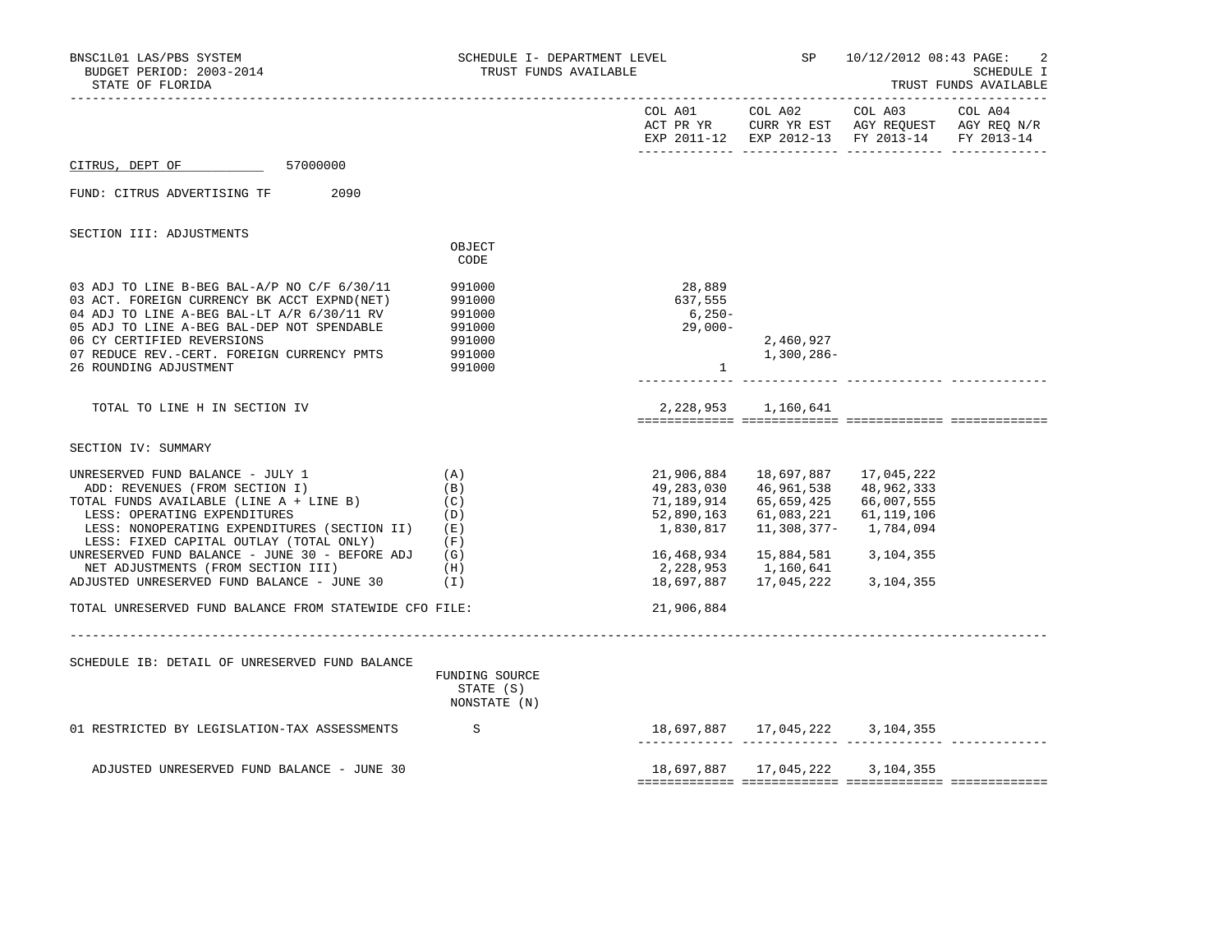| COL A01 COL A02 COL A03 COL A04<br>ACT PR YR CURR YR EST AGY REQUEST AGY REQ N/R<br>EXP 2011-12 EXP 2012-13 FY 2013-14 FY 2013-14<br>57000000<br>CITRUS, DEPT OF<br>FUND: CITRUS ADVERTISING TF<br>2090<br>SECTION III: ADJUSTMENTS<br>OBJECT<br>CODE<br>28,889<br>03 ADJ TO LINE B-BEG BAL-A/P NO C/F 6/30/11<br>991000<br>03 ACT. FOREIGN CURRENCY BK ACCT EXPND(NET)<br>637,555<br>991000<br>04 ADJ TO LINE A-BEG BAL-LT A/R 6/30/11 RV<br>991000<br>6,250-<br>05 ADJ TO LINE A-BEG BAL-DEP NOT SPENDABLE<br>29,000-<br>991000<br>06 CY CERTIFIED REVERSIONS<br>991000<br>2,460,927<br>1,300,286-<br>07 REDUCE REV. - CERT. FOREIGN CURRENCY PMTS<br>991000<br>26 ROUNDING ADJUSTMENT<br>991000<br>$\mathbf{1}$<br>2, 228, 953 1, 160, 641<br>TOTAL TO LINE H IN SECTION IV<br>SECTION IV: SUMMARY<br>21,906,884<br>18,697,887<br>17,045,222<br>UNRESERVED FUND BALANCE - JULY 1<br>(A)<br>ADD: REVENUES (FROM SECTION I)<br>49,283,030<br>46,961,538<br>48,962,333<br>(B)<br>66,007,555<br>TOTAL FUNDS AVAILABLE (LINE A + LINE B)<br>(C)<br>71,189,914<br>65,659,425<br>LESS: OPERATING EXPENDITURES<br>(D)<br>52,890,163<br>61,083,221 61,119,106<br>11,308,377- 1,784,094<br>LESS: NONOPERATING EXPENDITURES (SECTION II) (E)<br>1,830,817<br>LESS: FIXED CAPITAL OUTLAY (TOTAL ONLY)<br>(F)<br>UNRESERVED FUND BALANCE - JUNE 30 - BEFORE ADJ<br>16,468,934<br>15,884,581 3,104,355<br>(G)<br>NET ADJUSTMENTS (FROM SECTION III)<br>2,228,953<br>(H)<br>1,160,641<br>ADJUSTED UNRESERVED FUND BALANCE - JUNE 30<br>(1)<br>18,697,887<br>17,045,222 3,104,355<br>21,906,884<br>TOTAL UNRESERVED FUND BALANCE FROM STATEWIDE CFO FILE:<br>SCHEDULE IB: DETAIL OF UNRESERVED FUND BALANCE<br>FUNDING SOURCE<br>STATE (S)<br>NONSTATE (N)<br>18,697,887  17,045,222  3,104,355<br>01 RESTRICTED BY LEGISLATION-TAX ASSESSMENTS<br>S<br>18,697,887   17,045,222   3,104,355<br>ADJUSTED UNRESERVED FUND BALANCE - JUNE 30 | BNSC1L01 LAS/PBS SYSTEM<br>BUDGET PERIOD: 2003-2014<br>STATE OF FLORIDA | SCHEDULE I- DEPARTMENT LEVEL<br>TRUST FUNDS AVAILABLE |  | SP 10/12/2012 08:43 PAGE: | -2<br><b>SCHEDULE I</b><br>TRUST FUNDS AVAILABLE |
|------------------------------------------------------------------------------------------------------------------------------------------------------------------------------------------------------------------------------------------------------------------------------------------------------------------------------------------------------------------------------------------------------------------------------------------------------------------------------------------------------------------------------------------------------------------------------------------------------------------------------------------------------------------------------------------------------------------------------------------------------------------------------------------------------------------------------------------------------------------------------------------------------------------------------------------------------------------------------------------------------------------------------------------------------------------------------------------------------------------------------------------------------------------------------------------------------------------------------------------------------------------------------------------------------------------------------------------------------------------------------------------------------------------------------------------------------------------------------------------------------------------------------------------------------------------------------------------------------------------------------------------------------------------------------------------------------------------------------------------------------------------------------------------------------------------------------------------------------------------------------------------------------------------------------|-------------------------------------------------------------------------|-------------------------------------------------------|--|---------------------------|--------------------------------------------------|
|                                                                                                                                                                                                                                                                                                                                                                                                                                                                                                                                                                                                                                                                                                                                                                                                                                                                                                                                                                                                                                                                                                                                                                                                                                                                                                                                                                                                                                                                                                                                                                                                                                                                                                                                                                                                                                                                                                                              |                                                                         |                                                       |  |                           |                                                  |
|                                                                                                                                                                                                                                                                                                                                                                                                                                                                                                                                                                                                                                                                                                                                                                                                                                                                                                                                                                                                                                                                                                                                                                                                                                                                                                                                                                                                                                                                                                                                                                                                                                                                                                                                                                                                                                                                                                                              |                                                                         |                                                       |  |                           |                                                  |
|                                                                                                                                                                                                                                                                                                                                                                                                                                                                                                                                                                                                                                                                                                                                                                                                                                                                                                                                                                                                                                                                                                                                                                                                                                                                                                                                                                                                                                                                                                                                                                                                                                                                                                                                                                                                                                                                                                                              |                                                                         |                                                       |  |                           |                                                  |
|                                                                                                                                                                                                                                                                                                                                                                                                                                                                                                                                                                                                                                                                                                                                                                                                                                                                                                                                                                                                                                                                                                                                                                                                                                                                                                                                                                                                                                                                                                                                                                                                                                                                                                                                                                                                                                                                                                                              |                                                                         |                                                       |  |                           |                                                  |
|                                                                                                                                                                                                                                                                                                                                                                                                                                                                                                                                                                                                                                                                                                                                                                                                                                                                                                                                                                                                                                                                                                                                                                                                                                                                                                                                                                                                                                                                                                                                                                                                                                                                                                                                                                                                                                                                                                                              |                                                                         |                                                       |  |                           |                                                  |
|                                                                                                                                                                                                                                                                                                                                                                                                                                                                                                                                                                                                                                                                                                                                                                                                                                                                                                                                                                                                                                                                                                                                                                                                                                                                                                                                                                                                                                                                                                                                                                                                                                                                                                                                                                                                                                                                                                                              |                                                                         |                                                       |  |                           |                                                  |
|                                                                                                                                                                                                                                                                                                                                                                                                                                                                                                                                                                                                                                                                                                                                                                                                                                                                                                                                                                                                                                                                                                                                                                                                                                                                                                                                                                                                                                                                                                                                                                                                                                                                                                                                                                                                                                                                                                                              |                                                                         |                                                       |  |                           |                                                  |
|                                                                                                                                                                                                                                                                                                                                                                                                                                                                                                                                                                                                                                                                                                                                                                                                                                                                                                                                                                                                                                                                                                                                                                                                                                                                                                                                                                                                                                                                                                                                                                                                                                                                                                                                                                                                                                                                                                                              |                                                                         |                                                       |  |                           |                                                  |
|                                                                                                                                                                                                                                                                                                                                                                                                                                                                                                                                                                                                                                                                                                                                                                                                                                                                                                                                                                                                                                                                                                                                                                                                                                                                                                                                                                                                                                                                                                                                                                                                                                                                                                                                                                                                                                                                                                                              |                                                                         |                                                       |  |                           |                                                  |
|                                                                                                                                                                                                                                                                                                                                                                                                                                                                                                                                                                                                                                                                                                                                                                                                                                                                                                                                                                                                                                                                                                                                                                                                                                                                                                                                                                                                                                                                                                                                                                                                                                                                                                                                                                                                                                                                                                                              |                                                                         |                                                       |  |                           |                                                  |
|                                                                                                                                                                                                                                                                                                                                                                                                                                                                                                                                                                                                                                                                                                                                                                                                                                                                                                                                                                                                                                                                                                                                                                                                                                                                                                                                                                                                                                                                                                                                                                                                                                                                                                                                                                                                                                                                                                                              |                                                                         |                                                       |  |                           |                                                  |
|                                                                                                                                                                                                                                                                                                                                                                                                                                                                                                                                                                                                                                                                                                                                                                                                                                                                                                                                                                                                                                                                                                                                                                                                                                                                                                                                                                                                                                                                                                                                                                                                                                                                                                                                                                                                                                                                                                                              |                                                                         |                                                       |  |                           |                                                  |
|                                                                                                                                                                                                                                                                                                                                                                                                                                                                                                                                                                                                                                                                                                                                                                                                                                                                                                                                                                                                                                                                                                                                                                                                                                                                                                                                                                                                                                                                                                                                                                                                                                                                                                                                                                                                                                                                                                                              |                                                                         |                                                       |  |                           |                                                  |